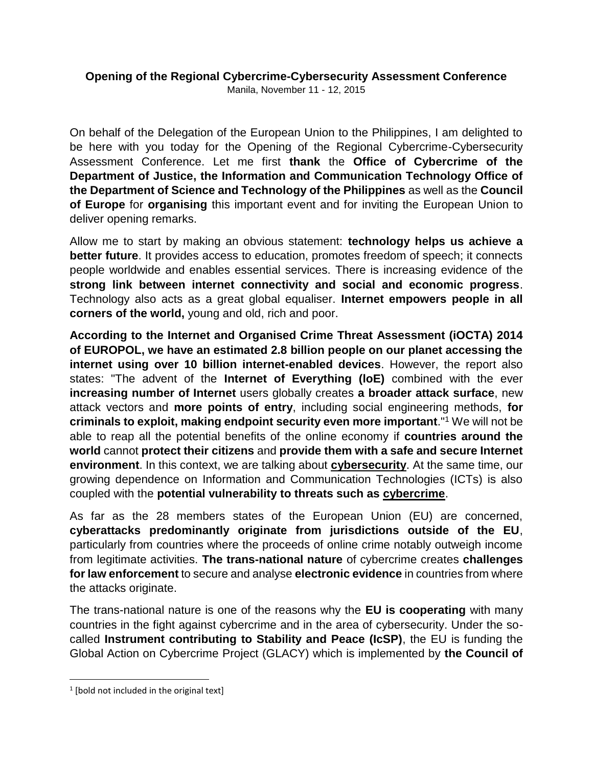# **Opening of the Regional Cybercrime-Cybersecurity Assessment Conference**

Manila, November 11 - 12, 2015

On behalf of the Delegation of the European Union to the Philippines, I am delighted to be here with you today for the Opening of the Regional Cybercrime-Cybersecurity Assessment Conference. Let me first **thank** the **Office of Cybercrime of the Department of Justice, the Information and Communication Technology Office of the Department of Science and Technology of the Philippines** as well as the **Council of Europe** for **organising** this important event and for inviting the European Union to deliver opening remarks.

Allow me to start by making an obvious statement: **technology helps us achieve a better future**. It provides access to education, promotes freedom of speech; it connects people worldwide and enables essential services. There is increasing evidence of the **strong link between internet connectivity and social and economic progress**. Technology also acts as a great global equaliser. **Internet empowers people in all corners of the world,** young and old, rich and poor.

**According to the Internet and Organised Crime Threat Assessment (iOCTA) 2014 of EUROPOL, we have an estimated 2.8 billion people on our planet accessing the internet using over 10 billion internet-enabled devices**. However, the report also states: "The advent of the **Internet of Everything (loE)** combined with the ever **increasing number of Internet** users globally creates **a broader attack surface**, new attack vectors and **more points of entry**, including social engineering methods, **for criminals to exploit, making endpoint security even more important**."<sup>1</sup> We will not be able to reap all the potential benefits of the online economy if **countries around the world** cannot **protect their citizens** and **provide them with a safe and secure Internet environment**. In this context, we are talking about **cybersecurity**. At the same time, our growing dependence on Information and Communication Technologies (ICTs) is also coupled with the **potential vulnerability to threats such as cybercrime**.

As far as the 28 members states of the European Union (EU) are concerned, **cyberattacks predominantly originate from jurisdictions outside of the EU**, particularly from countries where the proceeds of online crime notably outweigh income from legitimate activities. **The trans-national nature** of cybercrime creates **challenges for law enforcement** to secure and analyse **electronic evidence** in countries from where the attacks originate.

The trans-national nature is one of the reasons why the **EU is cooperating** with many countries in the fight against cybercrime and in the area of cybersecurity. Under the socalled **Instrument contributing to Stability and Peace (IcSP)**, the EU is funding the Global Action on Cybercrime Project (GLACY) which is implemented by **the Council of** 

 $\overline{\phantom{a}}$ 

<sup>&</sup>lt;sup>1</sup> [bold not included in the original text]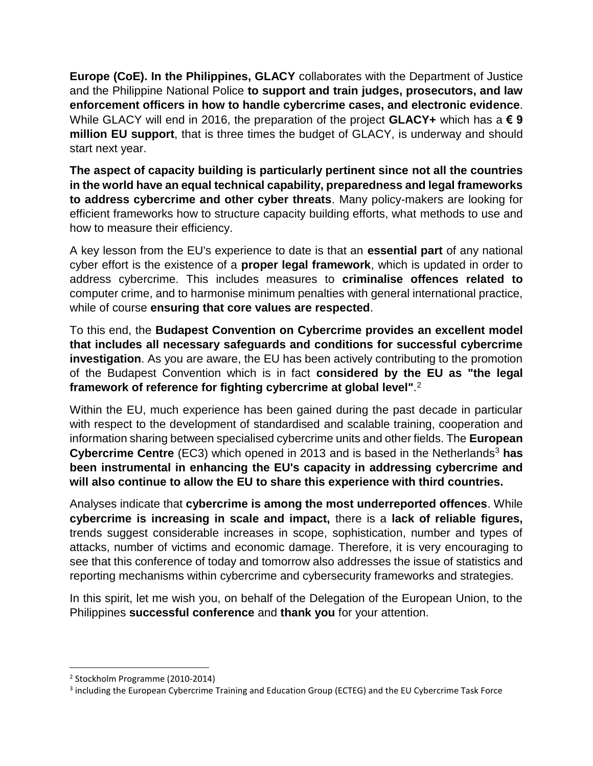**Europe (CoE). In the Philippines, GLACY** collaborates with the Department of Justice and the Philippine National Police **to support and train judges, prosecutors, and law enforcement officers in how to handle cybercrime cases, and electronic evidence**. While GLACY will end in 2016, the preparation of the project **GLACY+** which has a **€ 9 million EU support**, that is three times the budget of GLACY, is underway and should start next year.

**The aspect of capacity building is particularly pertinent since not all the countries in the world have an equal technical capability, preparedness and legal frameworks to address cybercrime and other cyber threats**. Many policy-makers are looking for efficient frameworks how to structure capacity building efforts, what methods to use and how to measure their efficiency.

A key lesson from the EU's experience to date is that an **essential part** of any national cyber effort is the existence of a **proper legal framework**, which is updated in order to address cybercrime. This includes measures to **criminalise offences related to**  computer crime, and to harmonise minimum penalties with general international practice, while of course **ensuring that core values are respected**.

To this end, the **Budapest Convention on Cybercrime provides an excellent model that includes all necessary safeguards and conditions for successful cybercrime investigation**. As you are aware, the EU has been actively contributing to the promotion of the Budapest Convention which is in fact **considered by the EU as "the legal framework of reference for fighting cybercrime at global level"**. 2

Within the EU, much experience has been gained during the past decade in particular with respect to the development of standardised and scalable training, cooperation and information sharing between specialised cybercrime units and other fields. The **European Cybercrime Centre** (EC3) which opened in 2013 and is based in the Netherlands<sup>3</sup> has **been instrumental in enhancing the EU's capacity in addressing cybercrime and will also continue to allow the EU to share this experience with third countries.** 

Analyses indicate that **cybercrime is among the most underreported offences**. While **cybercrime is increasing in scale and impact,** there is a **lack of reliable figures,**  trends suggest considerable increases in scope, sophistication, number and types of attacks, number of victims and economic damage. Therefore, it is very encouraging to see that this conference of today and tomorrow also addresses the issue of statistics and reporting mechanisms within cybercrime and cybersecurity frameworks and strategies.

In this spirit, let me wish you, on behalf of the Delegation of the European Union, to the Philippines **successful conference** and **thank you** for your attention.

l

<sup>2</sup> Stockholm Programme (2010-2014)

<sup>&</sup>lt;sup>3</sup> including the European Cybercrime Training and Education Group (ECTEG) and the EU Cybercrime Task Force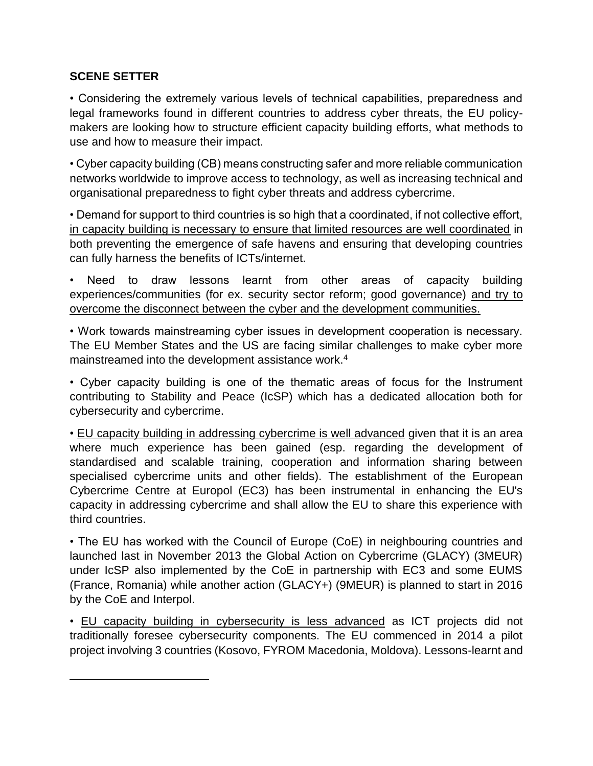#### **SCENE SETTER**

 $\overline{\phantom{a}}$ 

• Considering the extremely various levels of technical capabilities, preparedness and legal frameworks found in different countries to address cyber threats, the EU policymakers are looking how to structure efficient capacity building efforts, what methods to use and how to measure their impact.

• Cyber capacity building (CB) means constructing safer and more reliable communication networks worldwide to improve access to technology, as well as increasing technical and organisational preparedness to fight cyber threats and address cybercrime.

• Demand for support to third countries is so high that a coordinated, if not collective effort, in capacity building is necessary to ensure that limited resources are well coordinated in both preventing the emergence of safe havens and ensuring that developing countries can fully harness the benefits of ICTs/internet.

Need to draw lessons learnt from other areas of capacity building experiences/communities (for ex. security sector reform; good governance) and try to overcome the disconnect between the cyber and the development communities.

• Work towards mainstreaming cyber issues in development cooperation is necessary. The EU Member States and the US are facing similar challenges to make cyber more mainstreamed into the development assistance work.<sup>4</sup>

• Cyber capacity building is one of the thematic areas of focus for the Instrument contributing to Stability and Peace (IcSP) which has a dedicated allocation both for cybersecurity and cybercrime.

• EU capacity building in addressing cybercrime is well advanced given that it is an area where much experience has been gained (esp. regarding the development of standardised and scalable training, cooperation and information sharing between specialised cybercrime units and other fields). The establishment of the European Cybercrime Centre at Europol (EC3) has been instrumental in enhancing the EU's capacity in addressing cybercrime and shall allow the EU to share this experience with third countries.

• The EU has worked with the Council of Europe (CoE) in neighbouring countries and launched last in November 2013 the Global Action on Cybercrime (GLACY) (3MEUR) under IcSP also implemented by the CoE in partnership with EC3 and some EUMS (France, Romania) while another action (GLACY+) (9MEUR) is planned to start in 2016 by the CoE and Interpol.

• EU capacity building in cybersecurity is less advanced as ICT projects did not traditionally foresee cybersecurity components. The EU commenced in 2014 a pilot project involving 3 countries (Kosovo, FYROM Macedonia, Moldova). Lessons-learnt and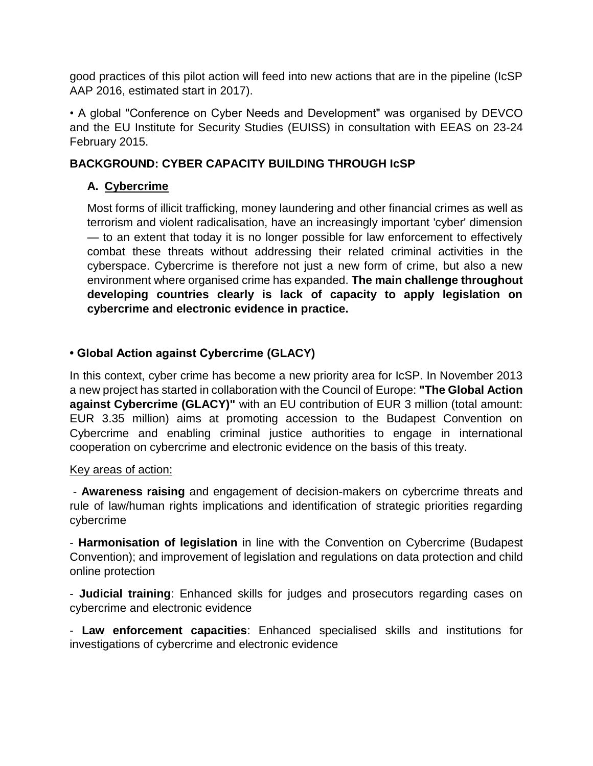good practices of this pilot action will feed into new actions that are in the pipeline (IcSP AAP 2016, estimated start in 2017).

• A global "Conference on Cyber Needs and Development" was organised by DEVCO and the EU Institute for Security Studies (EUISS) in consultation with EEAS on 23-24 February 2015.

## **BACKGROUND: CYBER CAPACITY BUILDING THROUGH IcSP**

## **A. Cybercrime**

Most forms of illicit trafficking, money laundering and other financial crimes as well as terrorism and violent radicalisation, have an increasingly important 'cyber' dimension — to an extent that today it is no longer possible for law enforcement to effectively combat these threats without addressing their related criminal activities in the cyberspace. Cybercrime is therefore not just a new form of crime, but also a new environment where organised crime has expanded. **The main challenge throughout developing countries clearly is lack of capacity to apply legislation on cybercrime and electronic evidence in practice.** 

## **• Global Action against Cybercrime (GLACY)**

In this context, cyber crime has become a new priority area for IcSP. In November 2013 a new project has started in collaboration with the Council of Europe: **"The Global Action against Cybercrime (GLACY)"** with an EU contribution of EUR 3 million (total amount: EUR 3.35 million) aims at promoting accession to the Budapest Convention on Cybercrime and enabling criminal justice authorities to engage in international cooperation on cybercrime and electronic evidence on the basis of this treaty.

#### Key areas of action:

- **Awareness raising** and engagement of decision-makers on cybercrime threats and rule of law/human rights implications and identification of strategic priorities regarding cybercrime

- **Harmonisation of legislation** in line with the Convention on Cybercrime (Budapest Convention); and improvement of legislation and regulations on data protection and child online protection

- **Judicial training**: Enhanced skills for judges and prosecutors regarding cases on cybercrime and electronic evidence

- **Law enforcement capacities**: Enhanced specialised skills and institutions for investigations of cybercrime and electronic evidence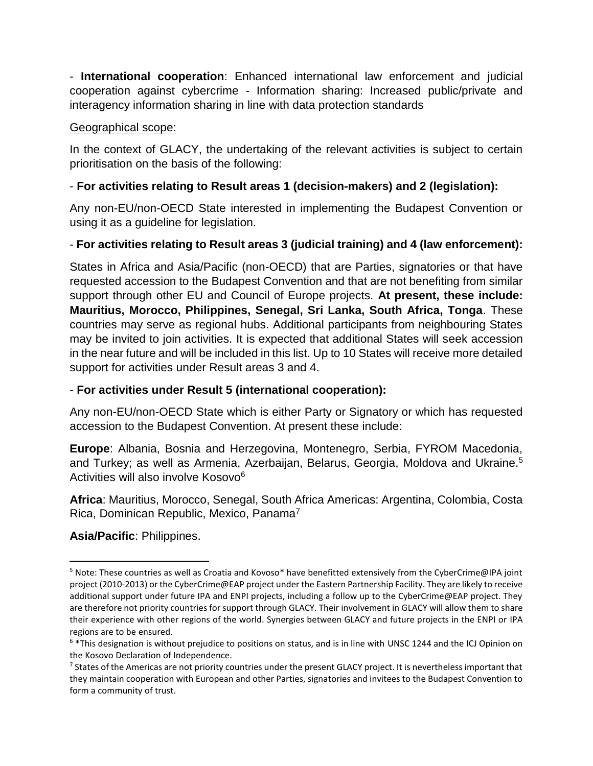- **International cooperation**: Enhanced international law enforcement and judicial cooperation against cybercrime - Information sharing: Increased public/private and interagency information sharing in line with data protection standards

#### Geographical scope:

In the context of GLACY, the undertaking of the relevant activities is subject to certain prioritisation on the basis of the following:

## - **For activities relating to Result areas 1 (decision-makers) and 2 (legislation):**

Any non-EU/non-OECD State interested in implementing the Budapest Convention or using it as a guideline for legislation.

## - **For activities relating to Result areas 3 (judicial training) and 4 (law enforcement):**

States in Africa and Asia/Pacific (non-OECD) that are Parties, signatories or that have requested accession to the Budapest Convention and that are not benefiting from similar support through other EU and Council of Europe projects. **At present, these include: Mauritius, Morocco, Philippines, Senegal, Sri Lanka, South Africa, Tonga**. These countries may serve as regional hubs. Additional participants from neighbouring States may be invited to join activities. It is expected that additional States will seek accession in the near future and will be included in this list. Up to 10 States will receive more detailed support for activities under Result areas 3 and 4.

## - **For activities under Result 5 (international cooperation):**

Any non-EU/non-OECD State which is either Party or Signatory or which has requested accession to the Budapest Convention. At present these include:

**Europe**: Albania, Bosnia and Herzegovina, Montenegro, Serbia, FYROM Macedonia, and Turkey; as well as Armenia, Azerbaijan, Belarus, Georgia, Moldova and Ukraine.<sup>5</sup> Activities will also involve Kosovo<sup>6</sup>

**Africa**: Mauritius, Morocco, Senegal, South Africa Americas: Argentina, Colombia, Costa Rica, Dominican Republic, Mexico, Panama<sup>7</sup>

## **Asia/Pacific**: Philippines.

 $\overline{a}$ 

<sup>5</sup> Note: These countries as well as Croatia and Kovoso\* have benefitted extensively from the CyberCrime@IPA joint project (2010-2013) or the CyberCrime@EAP project under the Eastern Partnership Facility. They are likely to receive additional support under future IPA and ENPI projects, including a follow up to the CyberCrime@EAP project. They are therefore not priority countries for support through GLACY. Their involvement in GLACY will allow them to share their experience with other regions of the world. Synergies between GLACY and future projects in the ENPI or IPA regions are to be ensured.

 $6$  \*This designation is without prejudice to positions on status, and is in line with UNSC 1244 and the ICJ Opinion on the Kosovo Declaration of Independence.

<sup>&</sup>lt;sup>7</sup> States of the Americas are not priority countries under the present GLACY project. It is nevertheless important that they maintain cooperation with European and other Parties, signatories and invitees to the Budapest Convention to form a community of trust.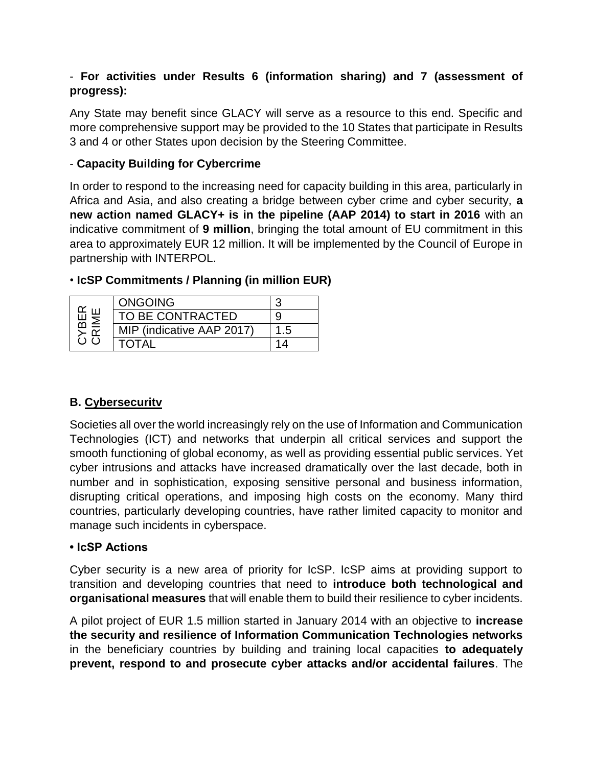## - **For activities under Results 6 (information sharing) and 7 (assessment of progress):**

Any State may benefit since GLACY will serve as a resource to this end. Specific and more comprehensive support may be provided to the 10 States that participate in Results 3 and 4 or other States upon decision by the Steering Committee.

## - **Capacity Building for Cybercrime**

In order to respond to the increasing need for capacity building in this area, particularly in Africa and Asia, and also creating a bridge between cyber crime and cyber security, **a new action named GLACY+ is in the pipeline (AAP 2014) to start in 2016** with an indicative commitment of **9 million**, bringing the total amount of EU commitment in this area to approximately EUR 12 million. It will be implemented by the Council of Europe in partnership with INTERPOL.

| in<br>K<br>K<br>K<br>K<br>≤<br>≃<br>' ) <i>( )</i> | <b>ONGOING</b>            |     |
|----------------------------------------------------|---------------------------|-----|
|                                                    | TO BE CONTRACTED          | g   |
|                                                    | MIP (indicative AAP 2017) | 1.5 |
|                                                    | TOTAL                     | 11  |

# • **IcSP Commitments / Planning (in million EUR)**

# **B. Cybersecuritv**

Societies all over the world increasingly rely on the use of Information and Communication Technologies (ICT) and networks that underpin all critical services and support the smooth functioning of global economy, as well as providing essential public services. Yet cyber intrusions and attacks have increased dramatically over the last decade, both in number and in sophistication, exposing sensitive personal and business information, disrupting critical operations, and imposing high costs on the economy. Many third countries, particularly developing countries, have rather limited capacity to monitor and manage such incidents in cyberspace.

## **• IcSP Actions**

Cyber security is a new area of priority for IcSP. IcSP aims at providing support to transition and developing countries that need to **introduce both technological and organisational measures** that will enable them to build their resilience to cyber incidents.

A pilot project of EUR 1.5 million started in January 2014 with an objective to **increase the security and resilience of Information Communication Technologies networks** in the beneficiary countries by building and training local capacities **to adequately prevent, respond to and prosecute cyber attacks and/or accidental failures**. The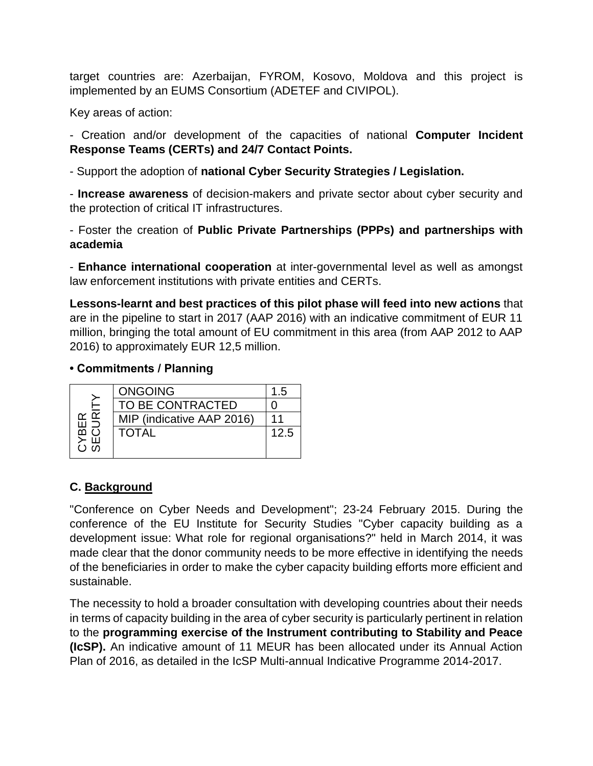target countries are: Azerbaijan, FYROM, Kosovo, Moldova and this project is implemented by an EUMS Consortium (ADETEF and CIVIPOL).

Key areas of action:

- Creation and/or development of the capacities of national **Computer Incident Response Teams (CERTs) and 24/7 Contact Points.**

- Support the adoption of **national Cyber Security Strategies / Legislation.** 

- **Increase awareness** of decision-makers and private sector about cyber security and the protection of critical IT infrastructures.

- Foster the creation of **Public Private Partnerships (PPPs) and partnerships with academia** 

- **Enhance international cooperation** at inter-governmental level as well as amongst law enforcement institutions with private entities and CERTs.

**Lessons-learnt and best practices of this pilot phase will feed into new actions** that are in the pipeline to start in 2017 (AAP 2016) with an indicative commitment of EUR 11 million, bringing the total amount of EU commitment in this area (from AAP 2012 to AAP 2016) to approximately EUR 12,5 million.

#### **• Commitments / Planning**

|          | <b>ONGOING</b>            | 1.5  |
|----------|---------------------------|------|
|          | TO BE CONTRACTED          |      |
| ≃ ∝      | MIP (indicative AAP 2016) |      |
| മ        | <b>TOTAL</b>              | 12.5 |
| 3 m<br>2 |                           |      |

## **C. Background**

"Conference on Cyber Needs and Development"; 23-24 February 2015. During the conference of the EU Institute for Security Studies "Cyber capacity building as a development issue: What role for regional organisations?" held in March 2014, it was made clear that the donor community needs to be more effective in identifying the needs of the beneficiaries in order to make the cyber capacity building efforts more efficient and sustainable.

The necessity to hold a broader consultation with developing countries about their needs in terms of capacity building in the area of cyber security is particularly pertinent in relation to the **programming exercise of the Instrument contributing to Stability and Peace (IcSP).** An indicative amount of 11 MEUR has been allocated under its Annual Action Plan of 2016, as detailed in the IcSP Multi-annual Indicative Programme 2014-2017.